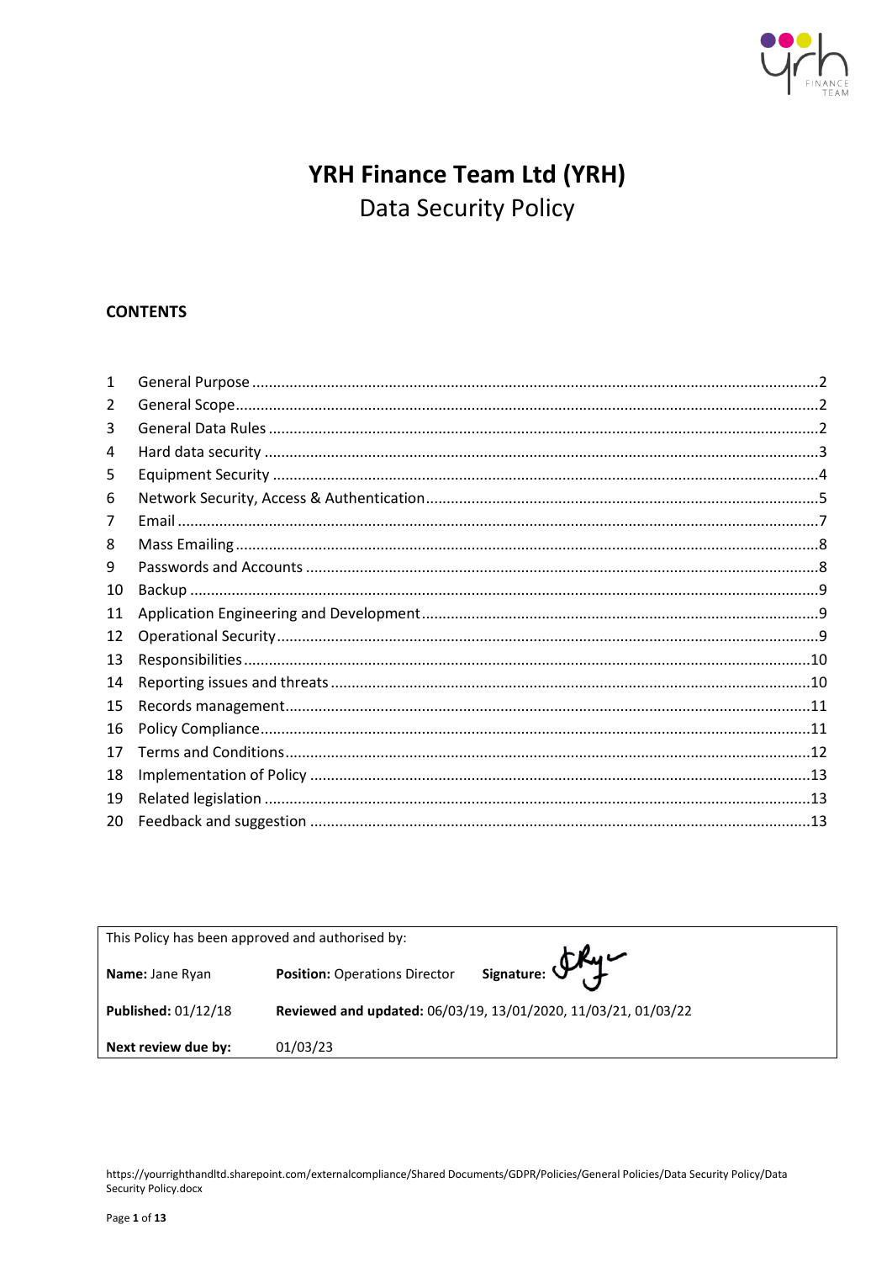

# YRH Finance Team Ltd (YRH) Data Security Policy

# **CONTENTS**

| $\mathbf{1}$ |  |  |  |
|--------------|--|--|--|
| 2            |  |  |  |
| 3            |  |  |  |
| 4            |  |  |  |
| 5            |  |  |  |
| 6            |  |  |  |
| 7            |  |  |  |
| 8            |  |  |  |
| 9            |  |  |  |
| 10           |  |  |  |
| 11           |  |  |  |
| 12           |  |  |  |
| 13           |  |  |  |
| 14           |  |  |  |
| 15           |  |  |  |
| 16           |  |  |  |
| 17           |  |  |  |
| 18           |  |  |  |
| 19           |  |  |  |
| 20           |  |  |  |

| This Policy has been approved and authorised by: |                                                                |                |  |  |  |
|--------------------------------------------------|----------------------------------------------------------------|----------------|--|--|--|
| <b>Name: Jane Ryan</b>                           | <b>Position: Operations Director</b>                           | Signature: Sky |  |  |  |
| Published: 01/12/18                              | Reviewed and updated: 06/03/19, 13/01/2020, 11/03/21, 01/03/22 |                |  |  |  |
| Next review due by:                              | 01/03/23                                                       |                |  |  |  |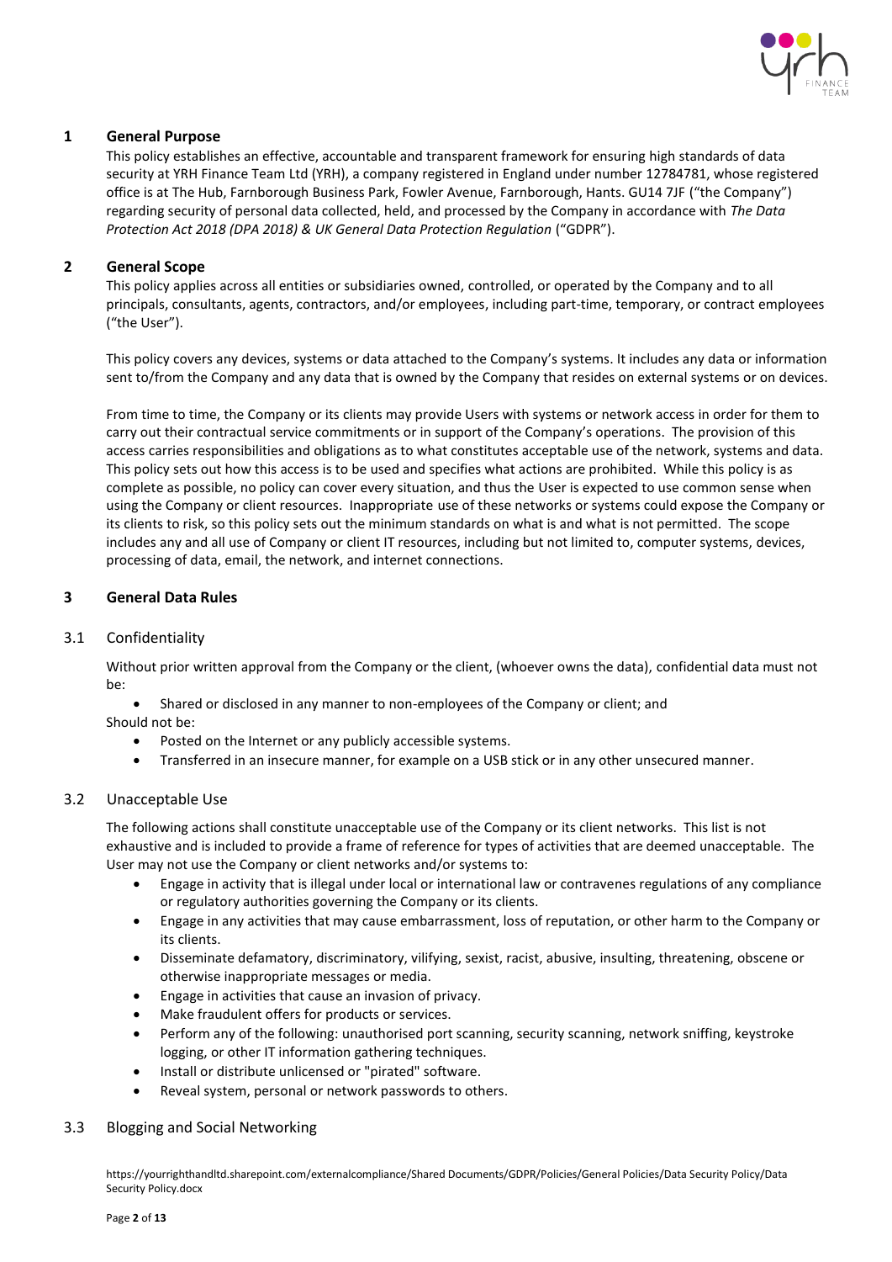

# <span id="page-1-0"></span>**1 General Purpose**

This policy establishes an effective, accountable and transparent framework for ensuring high standards of data security at YRH Finance Team Ltd (YRH), a company registered in England under number 12784781, whose registered office is at The Hub, Farnborough Business Park, Fowler Avenue, Farnborough, Hants. GU14 7JF ("the Company") regarding security of personal data collected, held, and processed by the Company in accordance with *The Data Protection Act 2018 (DPA 2018) & UK General Data Protection Regulation* ("GDPR").

# <span id="page-1-1"></span>**2 General Scope**

This policy applies across all entities or subsidiaries owned, controlled, or operated by the Company and to all principals, consultants, agents, contractors, and/or employees, including part-time, temporary, or contract employees ("the User").

This policy covers any devices, systems or data attached to the Company's systems. It includes any data or information sent to/from the Company and any data that is owned by the Company that resides on external systems or on devices.

From time to time, the Company or its clients may provide Users with systems or network access in order for them to carry out their contractual service commitments or in support of the Company's operations. The provision of this access carries responsibilities and obligations as to what constitutes acceptable use of the network, systems and data. This policy sets out how this access is to be used and specifies what actions are prohibited. While this policy is as complete as possible, no policy can cover every situation, and thus the User is expected to use common sense when using the Company or client resources. Inappropriate use of these networks or systems could expose the Company or its clients to risk, so this policy sets out the minimum standards on what is and what is not permitted. The scope includes any and all use of Company or client IT resources, including but not limited to, computer systems, devices, processing of data, email, the network, and internet connections.

# <span id="page-1-2"></span>**3 General Data Rules**

# 3.1 Confidentiality

Without prior written approval from the Company or the client, (whoever owns the data), confidential data must not be:

• Shared or disclosed in any manner to non-employees of the Company or client; and Should not be:

- Posted on the Internet or any publicly accessible systems.
- Transferred in an insecure manner, for example on a USB stick or in any other unsecured manner.

# 3.2 Unacceptable Use

The following actions shall constitute unacceptable use of the Company or its client networks. This list is not exhaustive and is included to provide a frame of reference for types of activities that are deemed unacceptable. The User may not use the Company or client networks and/or systems to:

- Engage in activity that is illegal under local or international law or contravenes regulations of any compliance or regulatory authorities governing the Company or its clients.
- Engage in any activities that may cause embarrassment, loss of reputation, or other harm to the Company or its clients.
- Disseminate defamatory, discriminatory, vilifying, sexist, racist, abusive, insulting, threatening, obscene or otherwise inappropriate messages or media.
- Engage in activities that cause an invasion of privacy.
- Make fraudulent offers for products or services.
- Perform any of the following: unauthorised port scanning, security scanning, network sniffing, keystroke logging, or other IT information gathering techniques.
- Install or distribute unlicensed or "pirated" software.
- Reveal system, personal or network passwords to others.

## 3.3 Blogging and Social Networking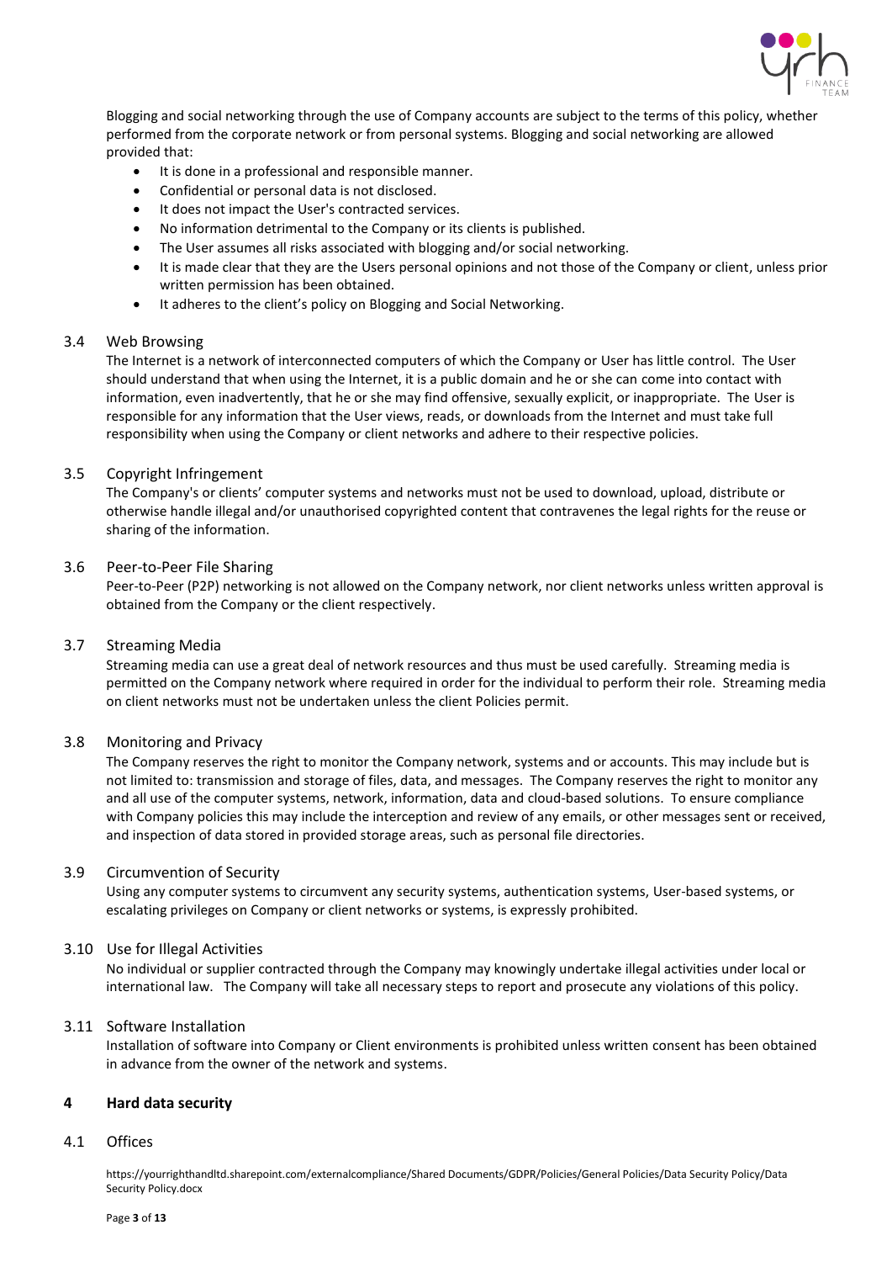

Blogging and social networking through the use of Company accounts are subject to the terms of this policy, whether performed from the corporate network or from personal systems. Blogging and social networking are allowed provided that:

- It is done in a professional and responsible manner.
- Confidential or personal data is not disclosed.
- It does not impact the User's contracted services.
- No information detrimental to the Company or its clients is published.
- The User assumes all risks associated with blogging and/or social networking.
- It is made clear that they are the Users personal opinions and not those of the Company or client, unless prior written permission has been obtained.
- It adheres to the client's policy on Blogging and Social Networking.

## 3.4 Web Browsing

The Internet is a network of interconnected computers of which the Company or User has little control. The User should understand that when using the Internet, it is a public domain and he or she can come into contact with information, even inadvertently, that he or she may find offensive, sexually explicit, or inappropriate. The User is responsible for any information that the User views, reads, or downloads from the Internet and must take full responsibility when using the Company or client networks and adhere to their respective policies.

## 3.5 Copyright Infringement

The Company's or clients' computer systems and networks must not be used to download, upload, distribute or otherwise handle illegal and/or unauthorised copyrighted content that contravenes the legal rights for the reuse or sharing of the information.

#### 3.6 Peer-to-Peer File Sharing

Peer-to-Peer (P2P) networking is not allowed on the Company network, nor client networks unless written approval is obtained from the Company or the client respectively.

## 3.7 Streaming Media

Streaming media can use a great deal of network resources and thus must be used carefully. Streaming media is permitted on the Company network where required in order for the individual to perform their role. Streaming media on client networks must not be undertaken unless the client Policies permit.

## 3.8 Monitoring and Privacy

The Company reserves the right to monitor the Company network, systems and or accounts. This may include but is not limited to: transmission and storage of files, data, and messages. The Company reserves the right to monitor any and all use of the computer systems, network, information, data and cloud-based solutions. To ensure compliance with Company policies this may include the interception and review of any emails, or other messages sent or received, and inspection of data stored in provided storage areas, such as personal file directories.

#### 3.9 Circumvention of Security

Using any computer systems to circumvent any security systems, authentication systems, User-based systems, or escalating privileges on Company or client networks or systems, is expressly prohibited.

## 3.10 Use for Illegal Activities

No individual or supplier contracted through the Company may knowingly undertake illegal activities under local or international law. The Company will take all necessary steps to report and prosecute any violations of this policy.

## 3.11 Software Installation

Installation of software into Company or Client environments is prohibited unless written consent has been obtained in advance from the owner of the network and systems.

## <span id="page-2-0"></span>**4 Hard data security**

## 4.1 Offices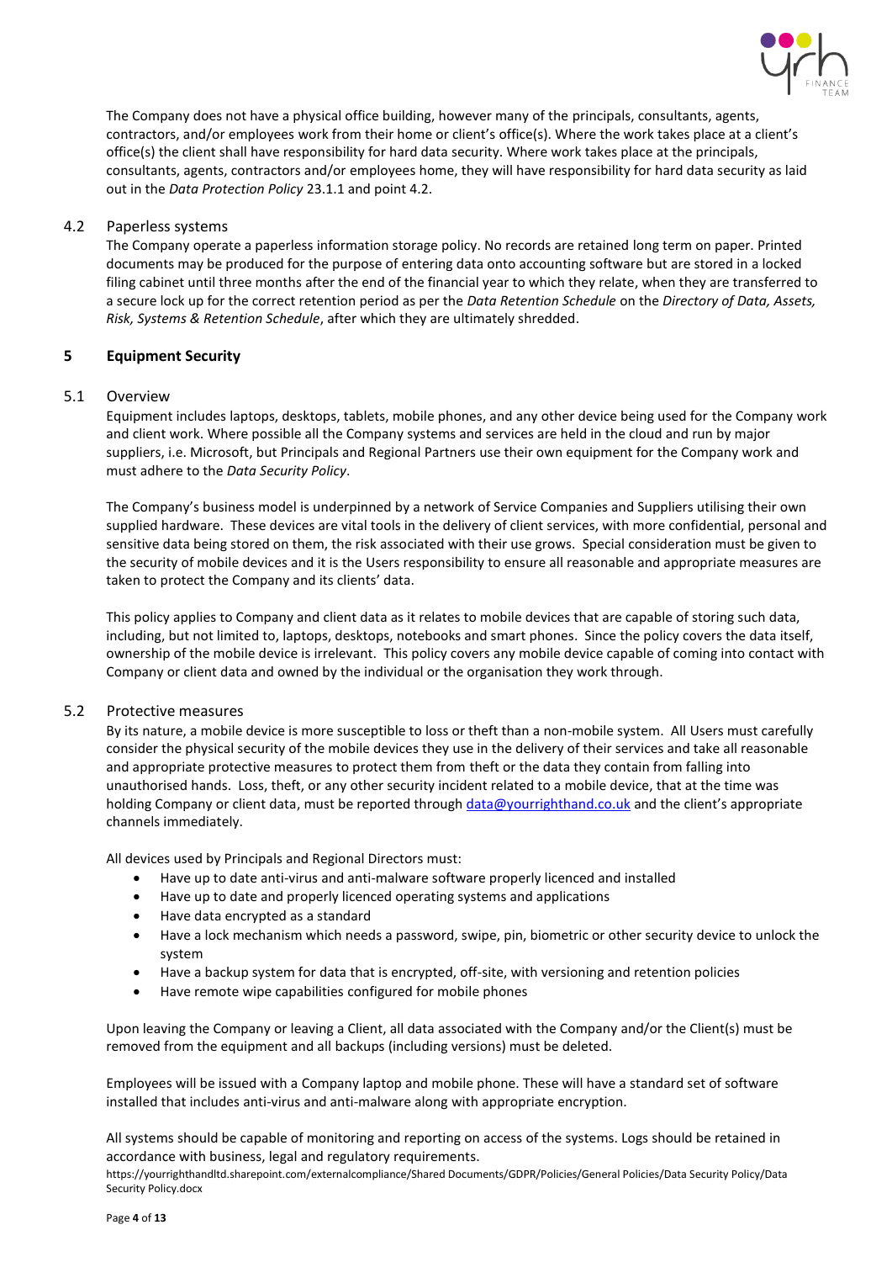

The Company does not have a physical office building, however many of the principals, consultants, agents, contractors, and/or employees work from their home or client's office(s). Where the work takes place at a client's office(s) the client shall have responsibility for hard data security. Where work takes place at the principals, consultants, agents, contractors and/or employees home, they will have responsibility for hard data security as laid out in the *Data Protection Policy* 23.1.1 and point 4.2.

# 4.2 Paperless systems

The Company operate a paperless information storage policy. No records are retained long term on paper. Printed documents may be produced for the purpose of entering data onto accounting software but are stored in a locked filing cabinet until three months after the end of the financial year to which they relate, when they are transferred to a secure lock up for the correct retention period as per the *Data Retention Schedule* on the *Directory of Data, Assets, Risk, Systems & Retention Schedule*, after which they are ultimately shredded.

# <span id="page-3-0"></span>**5 Equipment Security**

## 5.1 Overview

Equipment includes laptops, desktops, tablets, mobile phones, and any other device being used for the Company work and client work. Where possible all the Company systems and services are held in the cloud and run by major suppliers, i.e. Microsoft, but Principals and Regional Partners use their own equipment for the Company work and must adhere to the *Data Security Policy*.

The Company's business model is underpinned by a network of Service Companies and Suppliers utilising their own supplied hardware. These devices are vital tools in the delivery of client services, with more confidential, personal and sensitive data being stored on them, the risk associated with their use grows. Special consideration must be given to the security of mobile devices and it is the Users responsibility to ensure all reasonable and appropriate measures are taken to protect the Company and its clients' data.

This policy applies to Company and client data as it relates to mobile devices that are capable of storing such data, including, but not limited to, laptops, desktops, notebooks and smart phones. Since the policy covers the data itself, ownership of the mobile device is irrelevant. This policy covers any mobile device capable of coming into contact with Company or client data and owned by the individual or the organisation they work through.

## 5.2 Protective measures

By its nature, a mobile device is more susceptible to loss or theft than a non-mobile system. All Users must carefully consider the physical security of the mobile devices they use in the delivery of their services and take all reasonable and appropriate protective measures to protect them from theft or the data they contain from falling into unauthorised hands. Loss, theft, or any other security incident related to a mobile device, that at the time was holding Company or client data, must be reported throug[h data@yourrighthand.co.uk](mailto:data@yourrighthand.co.uk) and the client's appropriate channels immediately.

All devices used by Principals and Regional Directors must:

- Have up to date anti-virus and anti-malware software properly licenced and installed
- Have up to date and properly licenced operating systems and applications
- Have data encrypted as a standard
- Have a lock mechanism which needs a password, swipe, pin, biometric or other security device to unlock the system
- Have a backup system for data that is encrypted, off-site, with versioning and retention policies
- Have remote wipe capabilities configured for mobile phones

Upon leaving the Company or leaving a Client, all data associated with the Company and/or the Client(s) must be removed from the equipment and all backups (including versions) must be deleted.

Employees will be issued with a Company laptop and mobile phone. These will have a standard set of software installed that includes anti-virus and anti-malware along with appropriate encryption.

All systems should be capable of monitoring and reporting on access of the systems. Logs should be retained in accordance with business, legal and regulatory requirements.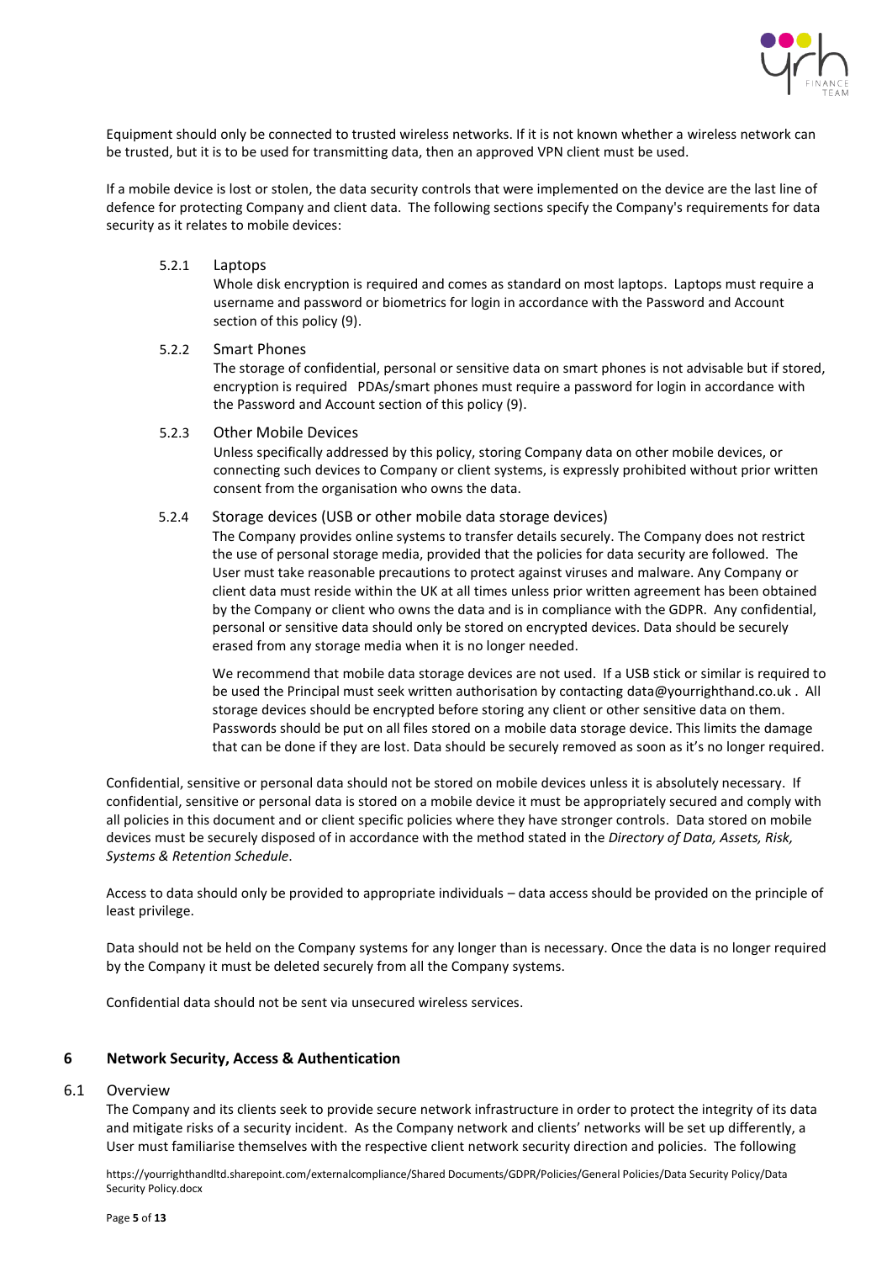

Equipment should only be connected to trusted wireless networks. If it is not known whether a wireless network can be trusted, but it is to be used for transmitting data, then an approved VPN client must be used.

If a mobile device is lost or stolen, the data security controls that were implemented on the device are the last line of defence for protecting Company and client data. The following sections specify the Company's requirements for data security as it relates to mobile devices:

5.2.1 Laptops

Whole disk encryption is required and comes as standard on most laptops. Laptops must require a username and password or biometrics for login in accordance with the Password and Account section of this policy (9).

#### 5.2.2 Smart Phones

The storage of confidential, personal or sensitive data on smart phones is not advisable but if stored, encryption is required PDAs/smart phones must require a password for login in accordance with the Password and Account section of this policy (9).

#### 5.2.3 Other Mobile Devices

Unless specifically addressed by this policy, storing Company data on other mobile devices, or connecting such devices to Company or client systems, is expressly prohibited without prior written consent from the organisation who owns the data.

## 5.2.4 Storage devices (USB or other mobile data storage devices)

The Company provides online systems to transfer details securely. The Company does not restrict the use of personal storage media, provided that the policies for data security are followed. The User must take reasonable precautions to protect against viruses and malware. Any Company or client data must reside within the UK at all times unless prior written agreement has been obtained by the Company or client who owns the data and is in compliance with the GDPR. Any confidential, personal or sensitive data should only be stored on encrypted devices. Data should be securely erased from any storage media when it is no longer needed.

We recommend that mobile data storage devices are not used. If a USB stick or similar is required to be used the Principal must seek written authorisation by contactin[g data@yourrighthand.co.uk](mailto:data@yourrighthand.co.uk) . All storage devices should be encrypted before storing any client or other sensitive data on them. Passwords should be put on all files stored on a mobile data storage device. This limits the damage that can be done if they are lost. Data should be securely removed as soon as it's no longer required.

Confidential, sensitive or personal data should not be stored on mobile devices unless it is absolutely necessary. If confidential, sensitive or personal data is stored on a mobile device it must be appropriately secured and comply with all policies in this document and or client specific policies where they have stronger controls. Data stored on mobile devices must be securely disposed of in accordance with the method stated in the *Directory of Data, Assets, Risk, Systems & Retention Schedule*.

Access to data should only be provided to appropriate individuals – data access should be provided on the principle of least privilege.

Data should not be held on the Company systems for any longer than is necessary. Once the data is no longer required by the Company it must be deleted securely from all the Company systems.

Confidential data should not be sent via unsecured wireless services.

# <span id="page-4-0"></span>**6 Network Security, Access & Authentication**

#### 6.1 Overview

The Company and its clients seek to provide secure network infrastructure in order to protect the integrity of its data and mitigate risks of a security incident. As the Company network and clients' networks will be set up differently, a User must familiarise themselves with the respective client network security direction and policies. The following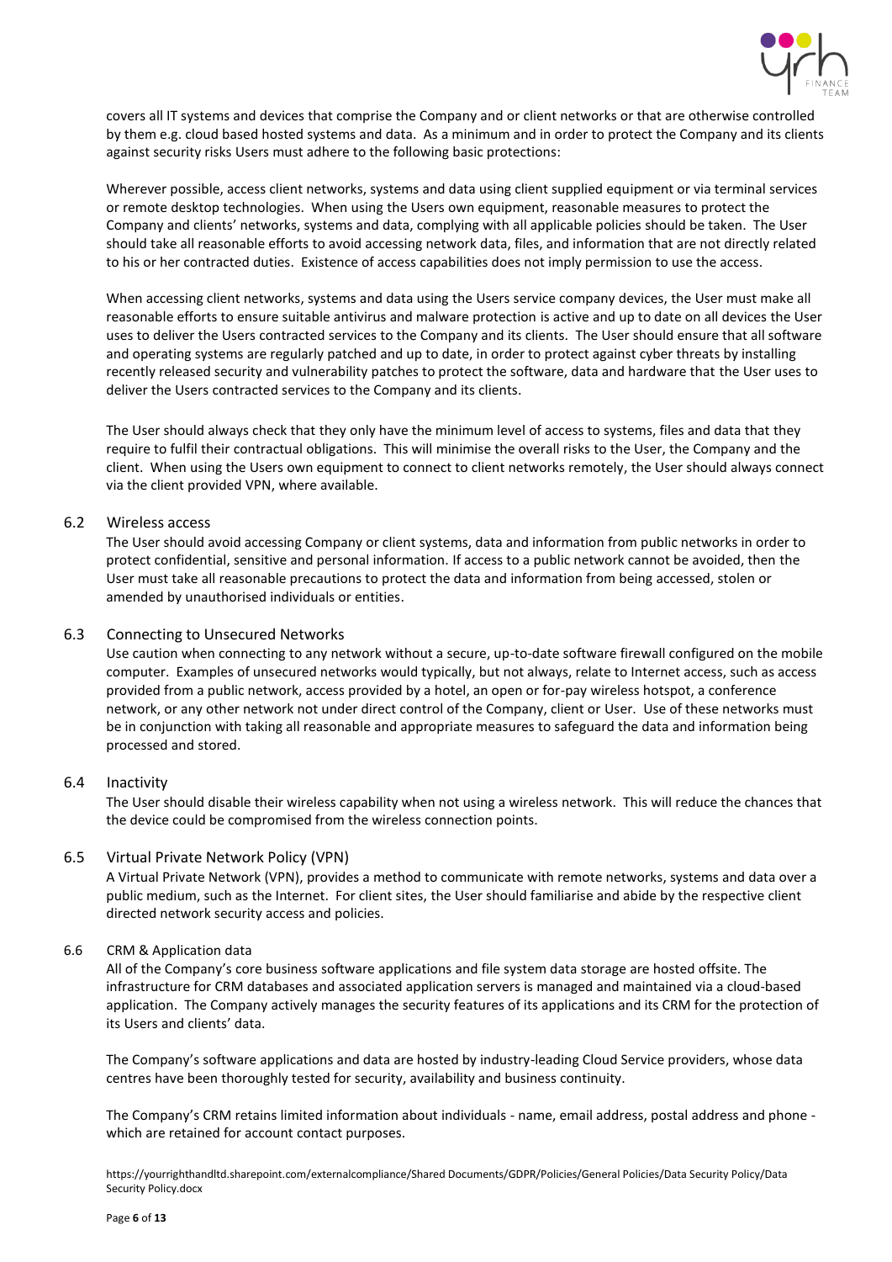

covers all IT systems and devices that comprise the Company and or client networks or that are otherwise controlled by them e.g. cloud based hosted systems and data. As a minimum and in order to protect the Company and its clients against security risks Users must adhere to the following basic protections:

Wherever possible, access client networks, systems and data using client supplied equipment or via terminal services or remote desktop technologies. When using the Users own equipment, reasonable measures to protect the Company and clients' networks, systems and data, complying with all applicable policies should be taken. The User should take all reasonable efforts to avoid accessing network data, files, and information that are not directly related to his or her contracted duties. Existence of access capabilities does not imply permission to use the access.

When accessing client networks, systems and data using the Users service company devices, the User must make all reasonable efforts to ensure suitable antivirus and malware protection is active and up to date on all devices the User uses to deliver the Users contracted services to the Company and its clients. The User should ensure that all software and operating systems are regularly patched and up to date, in order to protect against cyber threats by installing recently released security and vulnerability patches to protect the software, data and hardware that the User uses to deliver the Users contracted services to the Company and its clients.

The User should always check that they only have the minimum level of access to systems, files and data that they require to fulfil their contractual obligations. This will minimise the overall risks to the User, the Company and the client. When using the Users own equipment to connect to client networks remotely, the User should always connect via the client provided VPN, where available.

# 6.2 Wireless access

The User should avoid accessing Company or client systems, data and information from public networks in order to protect confidential, sensitive and personal information. If access to a public network cannot be avoided, then the User must take all reasonable precautions to protect the data and information from being accessed, stolen or amended by unauthorised individuals or entities.

# 6.3 Connecting to Unsecured Networks

Use caution when connecting to any network without a secure, up-to-date software firewall configured on the mobile computer. Examples of unsecured networks would typically, but not always, relate to Internet access, such as access provided from a public network, access provided by a hotel, an open or for-pay wireless hotspot, a conference network, or any other network not under direct control of the Company, client or User. Use of these networks must be in conjunction with taking all reasonable and appropriate measures to safeguard the data and information being processed and stored.

## 6.4 Inactivity

The User should disable their wireless capability when not using a wireless network. This will reduce the chances that the device could be compromised from the wireless connection points.

## 6.5 Virtual Private Network Policy (VPN)

A Virtual Private Network (VPN), provides a method to communicate with remote networks, systems and data over a public medium, such as the Internet. For client sites, the User should familiarise and abide by the respective client directed network security access and policies.

## 6.6 CRM & Application data

All of the Company's core business software applications and file system data storage are hosted offsite. The infrastructure for CRM databases and associated application servers is managed and maintained via a cloud-based application. The Company actively manages the security features of its applications and its CRM for the protection of its Users and clients' data.

The Company's software applications and data are hosted by industry-leading Cloud Service providers, whose data centres have been thoroughly tested for security, availability and business continuity.

The Company's CRM retains limited information about individuals - name, email address, postal address and phone which are retained for account contact purposes.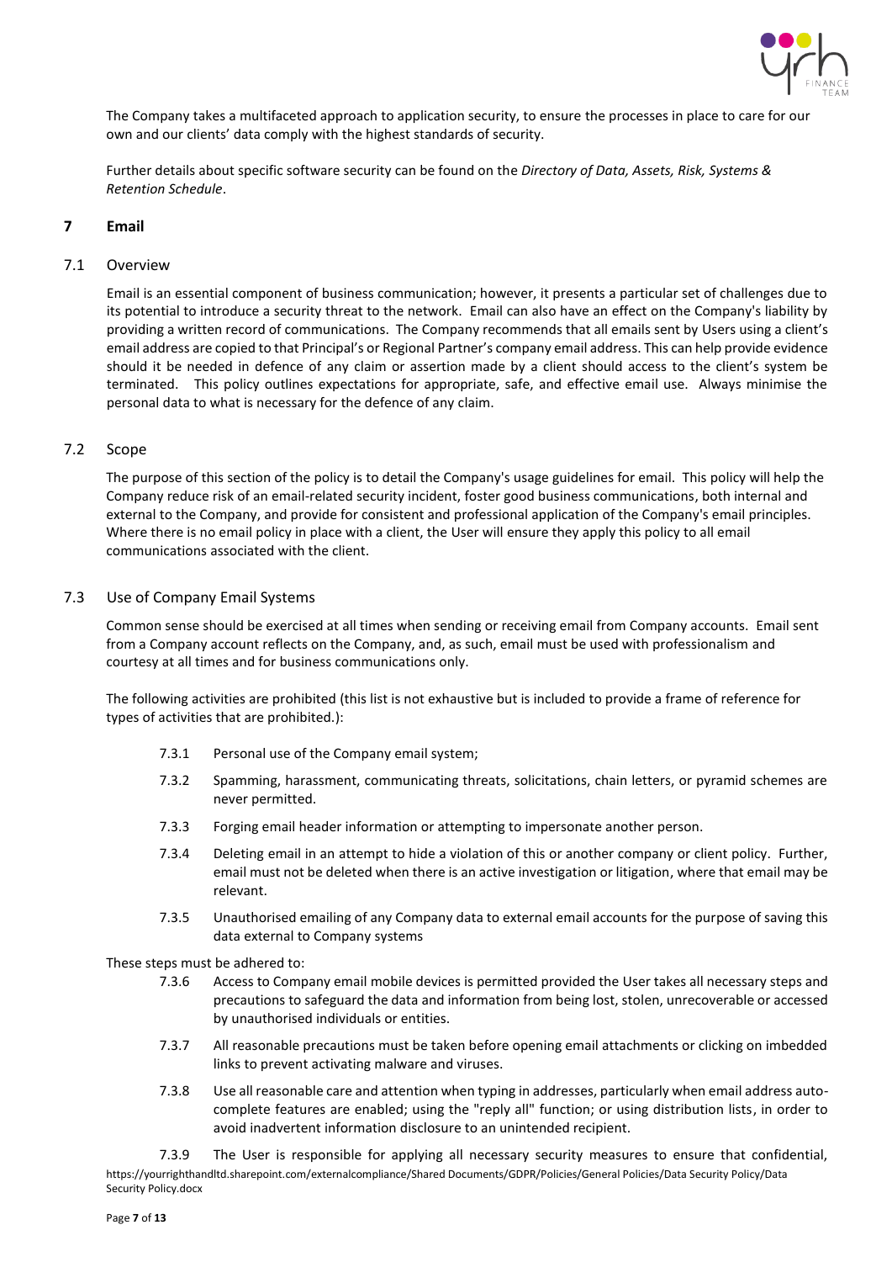

The Company takes a multifaceted approach to application security, to ensure the processes in place to care for our own and our clients' data comply with the highest standards of security.

Further details about specific software security can be found on the *Directory of Data, Assets, Risk, Systems & Retention Schedule*.

# <span id="page-6-0"></span>**7 Email**

#### 7.1 Overview

Email is an essential component of business communication; however, it presents a particular set of challenges due to its potential to introduce a security threat to the network. Email can also have an effect on the Company's liability by providing a written record of communications. The Company recommends that all emails sent by Users using a client's email address are copied to that Principal's or Regional Partner's company email address. This can help provide evidence should it be needed in defence of any claim or assertion made by a client should access to the client's system be terminated. This policy outlines expectations for appropriate, safe, and effective email use. Always minimise the personal data to what is necessary for the defence of any claim.

#### 7.2 Scope

The purpose of this section of the policy is to detail the Company's usage guidelines for email. This policy will help the Company reduce risk of an email-related security incident, foster good business communications, both internal and external to the Company, and provide for consistent and professional application of the Company's email principles. Where there is no email policy in place with a client, the User will ensure they apply this policy to all email communications associated with the client.

## 7.3 Use of Company Email Systems

Common sense should be exercised at all times when sending or receiving email from Company accounts. Email sent from a Company account reflects on the Company, and, as such, email must be used with professionalism and courtesy at all times and for business communications only.

The following activities are prohibited (this list is not exhaustive but is included to provide a frame of reference for types of activities that are prohibited.):

- 7.3.1 Personal use of the Company email system;
- 7.3.2 Spamming, harassment, communicating threats, solicitations, chain letters, or pyramid schemes are never permitted.
- 7.3.3 Forging email header information or attempting to impersonate another person.
- 7.3.4 Deleting email in an attempt to hide a violation of this or another company or client policy. Further, email must not be deleted when there is an active investigation or litigation, where that email may be relevant.
- 7.3.5 Unauthorised emailing of any Company data to external email accounts for the purpose of saving this data external to Company systems

These steps must be adhered to:

- 7.3.6 Access to Company email mobile devices is permitted provided the User takes all necessary steps and precautions to safeguard the data and information from being lost, stolen, unrecoverable or accessed by unauthorised individuals or entities.
- 7.3.7 All reasonable precautions must be taken before opening email attachments or clicking on imbedded links to prevent activating malware and viruses.
- 7.3.8 Use all reasonable care and attention when typing in addresses, particularly when email address autocomplete features are enabled; using the "reply all" function; or using distribution lists, in order to avoid inadvertent information disclosure to an unintended recipient.

https://yourrighthandltd.sharepoint.com/externalcompliance/Shared Documents/GDPR/Policies/General Policies/Data Security Policy/Data Security Policy.docx 7.3.9 The User is responsible for applying all necessary security measures to ensure that confidential,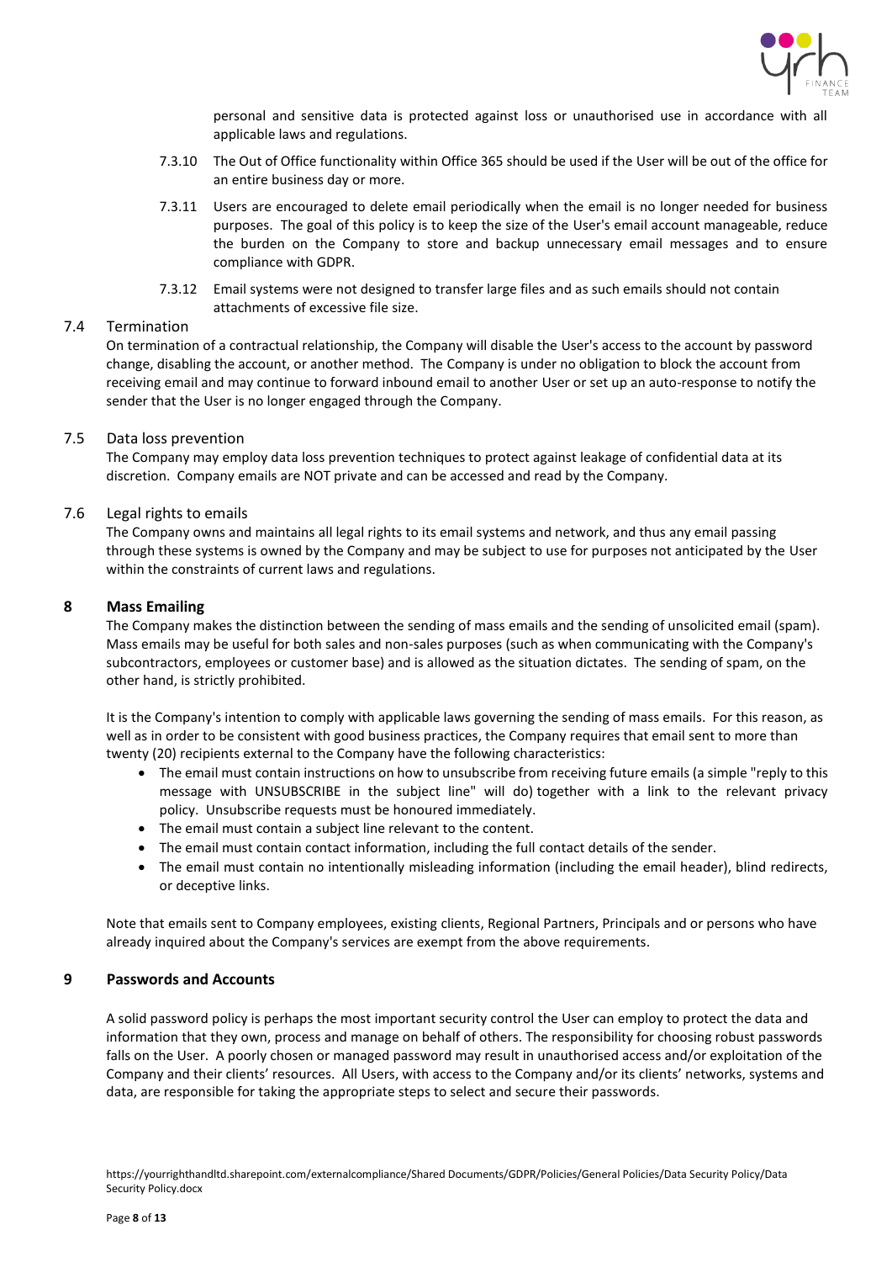

personal and sensitive data is protected against loss or unauthorised use in accordance with all applicable laws and regulations.

- 7.3.10 The Out of Office functionality within Office 365 should be used if the User will be out of the office for an entire business day or more.
- 7.3.11 Users are encouraged to delete email periodically when the email is no longer needed for business purposes. The goal of this policy is to keep the size of the User's email account manageable, reduce the burden on the Company to store and backup unnecessary email messages and to ensure compliance with GDPR.
- 7.3.12 Email systems were not designed to transfer large files and as such emails should not contain attachments of excessive file size.

## 7.4 Termination

On termination of a contractual relationship, the Company will disable the User's access to the account by password change, disabling the account, or another method. The Company is under no obligation to block the account from receiving email and may continue to forward inbound email to another User or set up an auto-response to notify the sender that the User is no longer engaged through the Company.

## 7.5 Data loss prevention

The Company may employ data loss prevention techniques to protect against leakage of confidential data at its discretion. Company emails are NOT private and can be accessed and read by the Company.

# 7.6 Legal rights to emails

The Company owns and maintains all legal rights to its email systems and network, and thus any email passing through these systems is owned by the Company and may be subject to use for purposes not anticipated by the User within the constraints of current laws and regulations.

# <span id="page-7-0"></span>**8 Mass Emailing**

The Company makes the distinction between the sending of mass emails and the sending of unsolicited email (spam). Mass emails may be useful for both sales and non-sales purposes (such as when communicating with the Company's subcontractors, employees or customer base) and is allowed as the situation dictates. The sending of spam, on the other hand, is strictly prohibited.

It is the Company's intention to comply with applicable laws governing the sending of mass emails. For this reason, as well as in order to be consistent with good business practices, the Company requires that email sent to more than twenty (20) recipients external to the Company have the following characteristics:

- The email must contain instructions on how to unsubscribe from receiving future emails (a simple "reply to this message with UNSUBSCRIBE in the subject line" will do) together with a link to the relevant privacy policy. Unsubscribe requests must be honoured immediately.
- The email must contain a subject line relevant to the content.
- The email must contain contact information, including the full contact details of the sender.
- The email must contain no intentionally misleading information (including the email header), blind redirects, or deceptive links.

Note that emails sent to Company employees, existing clients, Regional Partners, Principals and or persons who have already inquired about the Company's services are exempt from the above requirements.

## <span id="page-7-1"></span>**9 Passwords and Accounts**

A solid password policy is perhaps the most important security control the User can employ to protect the data and information that they own, process and manage on behalf of others. The responsibility for choosing robust passwords falls on the User. A poorly chosen or managed password may result in unauthorised access and/or exploitation of the Company and their clients' resources. All Users, with access to the Company and/or its clients' networks, systems and data, are responsible for taking the appropriate steps to select and secure their passwords.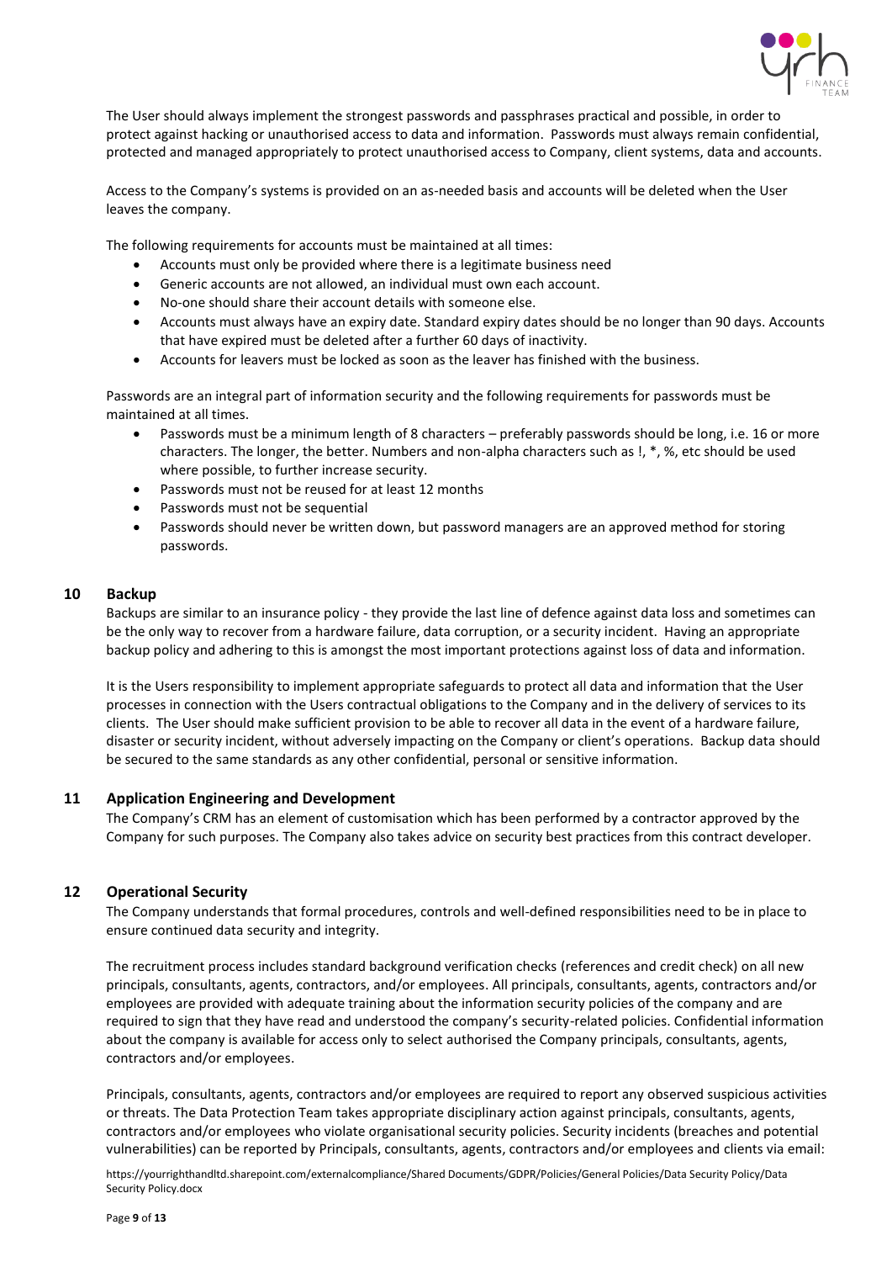

The User should always implement the strongest passwords and passphrases practical and possible, in order to protect against hacking or unauthorised access to data and information. Passwords must always remain confidential, protected and managed appropriately to protect unauthorised access to Company, client systems, data and accounts.

Access to the Company's systems is provided on an as-needed basis and accounts will be deleted when the User leaves the company.

The following requirements for accounts must be maintained at all times:

- Accounts must only be provided where there is a legitimate business need
- Generic accounts are not allowed, an individual must own each account.
- No-one should share their account details with someone else.
- Accounts must always have an expiry date. Standard expiry dates should be no longer than 90 days. Accounts that have expired must be deleted after a further 60 days of inactivity.
- Accounts for leavers must be locked as soon as the leaver has finished with the business.

Passwords are an integral part of information security and the following requirements for passwords must be maintained at all times.

- Passwords must be a minimum length of 8 characters preferably passwords should be long, i.e. 16 or more characters. The longer, the better. Numbers and non-alpha characters such as !, \*, %, etc should be used where possible, to further increase security.
- Passwords must not be reused for at least 12 months
- Passwords must not be sequential
- Passwords should never be written down, but password managers are an approved method for storing passwords.

#### <span id="page-8-0"></span>**10 Backup**

Backups are similar to an insurance policy - they provide the last line of defence against data loss and sometimes can be the only way to recover from a hardware failure, data corruption, or a security incident. Having an appropriate backup policy and adhering to this is amongst the most important protections against loss of data and information.

It is the Users responsibility to implement appropriate safeguards to protect all data and information that the User processes in connection with the Users contractual obligations to the Company and in the delivery of services to its clients. The User should make sufficient provision to be able to recover all data in the event of a hardware failure, disaster or security incident, without adversely impacting on the Company or client's operations. Backup data should be secured to the same standards as any other confidential, personal or sensitive information.

#### <span id="page-8-1"></span>**11 Application Engineering and Development**

The Company's CRM has an element of customisation which has been performed by a contractor approved by the Company for such purposes. The Company also takes advice on security best practices from this contract developer.

## <span id="page-8-2"></span>**12 Operational Security**

The Company understands that formal procedures, controls and well-defined responsibilities need to be in place to ensure continued data security and integrity.

The recruitment process includes standard background verification checks (references and credit check) on all new principals, consultants, agents, contractors, and/or employees. All principals, consultants, agents, contractors and/or employees are provided with adequate training about the information security policies of the company and are required to sign that they have read and understood the company's security-related policies. Confidential information about the company is available for access only to select authorised the Company principals, consultants, agents, contractors and/or employees.

Principals, consultants, agents, contractors and/or employees are required to report any observed suspicious activities or threats. The Data Protection Team takes appropriate disciplinary action against principals, consultants, agents, contractors and/or employees who violate organisational security policies. Security incidents (breaches and potential vulnerabilities) can be reported by Principals, consultants, agents, contractors and/or employees and clients via email: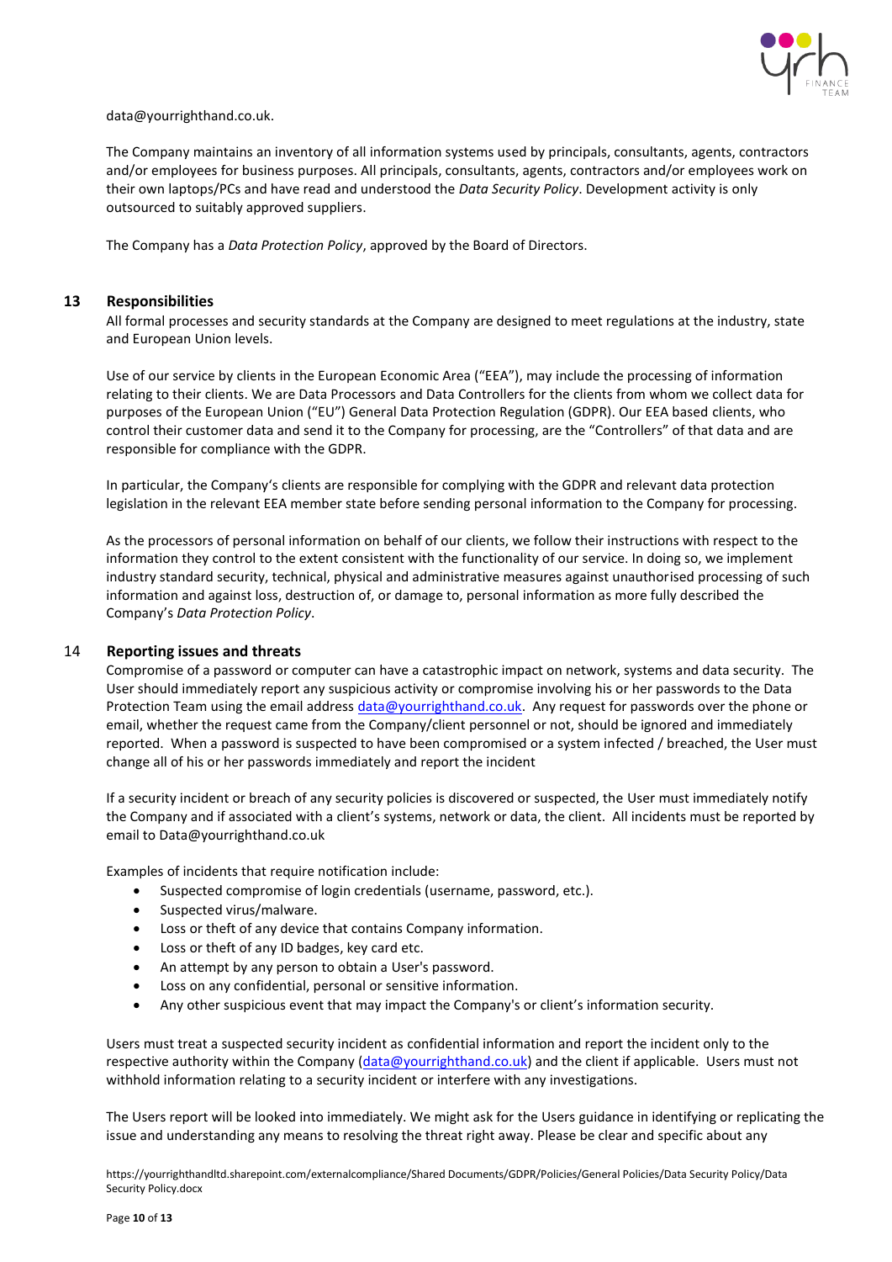

data@yourrighthand.co.uk.

The Company maintains an inventory of all information systems used by principals, consultants, agents, contractors and/or employees for business purposes. All principals, consultants, agents, contractors and/or employees work on their own laptops/PCs and have read and understood the *Data Security Policy*. Development activity is only outsourced to suitably approved suppliers.

The Company has a *Data Protection Policy*, approved by the Board of Directors.

## <span id="page-9-0"></span>**13 Responsibilities**

All formal processes and security standards at the Company are designed to meet regulations at the industry, state and European Union levels.

Use of our service by clients in the European Economic Area ("EEA"), may include the processing of information relating to their clients. We are Data Processors and Data Controllers for the clients from whom we collect data for purposes of the European Union ("EU") General Data Protection Regulation (GDPR). Our EEA based clients, who control their customer data and send it to the Company for processing, are the "Controllers" of that data and are responsible for compliance with the GDPR.

In particular, the Company's clients are responsible for complying with the GDPR and relevant data protection legislation in the relevant EEA member state before sending personal information to the Company for processing.

As the processors of personal information on behalf of our clients, we follow their instructions with respect to the information they control to the extent consistent with the functionality of our service. In doing so, we implement industry standard security, technical, physical and administrative measures against unauthorised processing of such information and against loss, destruction of, or damage to, personal information as more fully described the Company's *Data Protection Policy*.

## <span id="page-9-1"></span>14 **Reporting issues and threats**

Compromise of a password or computer can have a catastrophic impact on network, systems and data security. The User should immediately report any suspicious activity or compromise involving his or her passwords to the Data Protection Team using the email addres[s data@yourrighthand.co.uk.](mailto:data@yourrighthand.co.uk) Any request for passwords over the phone or email, whether the request came from the Company/client personnel or not, should be ignored and immediately reported. When a password is suspected to have been compromised or a system infected / breached, the User must change all of his or her passwords immediately and report the incident

If a security incident or breach of any security policies is discovered or suspected, the User must immediately notify the Company and if associated with a client's systems, network or data, the client. All incidents must be reported by email t[o Data@yourrighthand.co.uk](mailto:Privacy@thefdcentre.co.uk)

Examples of incidents that require notification include:

- Suspected compromise of login credentials (username, password, etc.).
- Suspected virus/malware.
- Loss or theft of any device that contains Company information.
- Loss or theft of any ID badges, key card etc.
- An attempt by any person to obtain a User's password.
- Loss on any confidential, personal or sensitive information.
- Any other suspicious event that may impact the Company's or client's information security.

Users must treat a suspected security incident as confidential information and report the incident only to the respective authority within the Company [\(data@yourrighthand.co.uk\)](mailto:data@yourrighthand.co.uk) and the client if applicable. Users must not withhold information relating to a security incident or interfere with any investigations.

The Users report will be looked into immediately. We might ask for the Users guidance in identifying or replicating the issue and understanding any means to resolving the threat right away. Please be clear and specific about any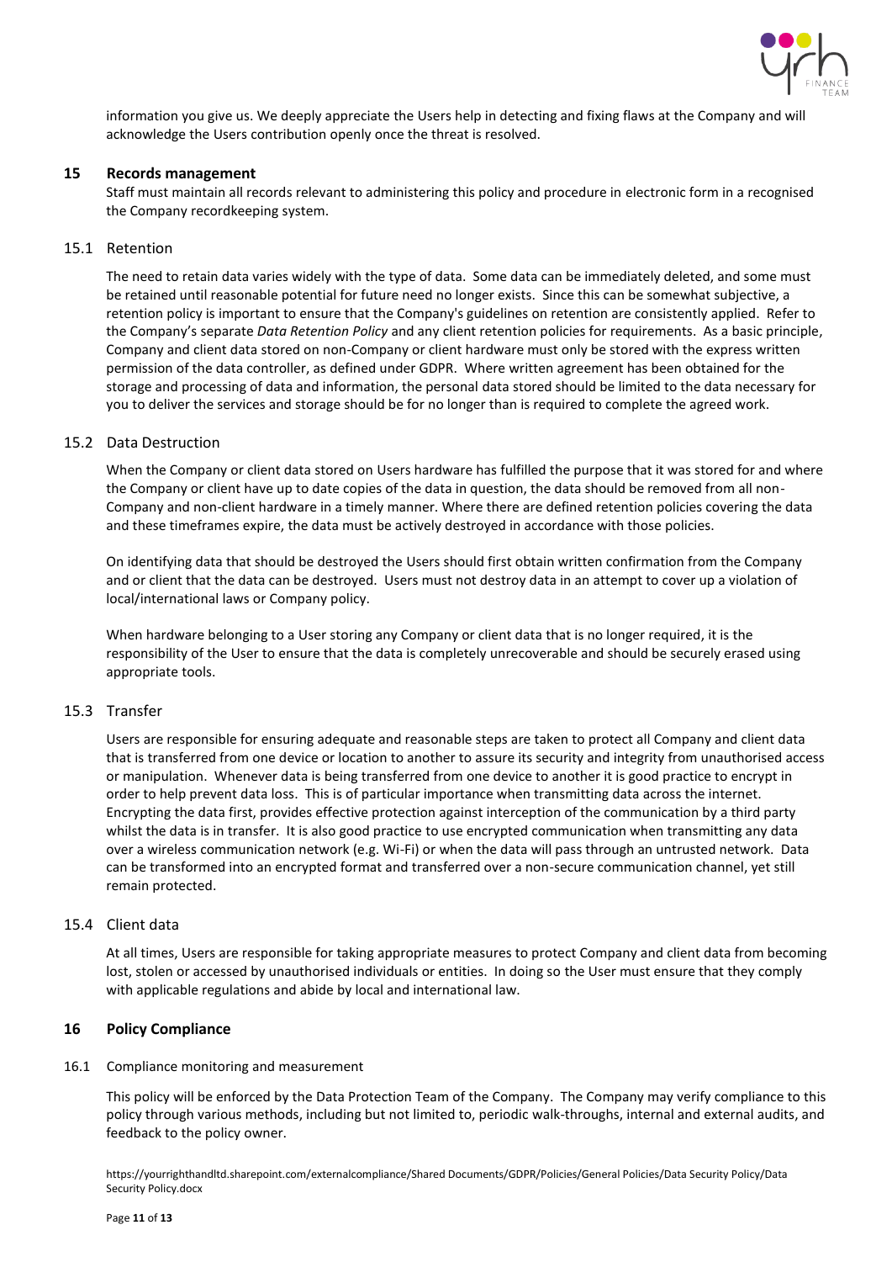

information you give us. We deeply appreciate the Users help in detecting and fixing flaws at the Company and will acknowledge the Users contribution openly once the threat is resolved.

## <span id="page-10-0"></span>**15 Records management**

Staff must maintain all records relevant to administering this policy and procedure in electronic form in a recognised the Company recordkeeping system.

# 15.1 Retention

The need to retain data varies widely with the type of data. Some data can be immediately deleted, and some must be retained until reasonable potential for future need no longer exists. Since this can be somewhat subjective, a retention policy is important to ensure that the Company's guidelines on retention are consistently applied. Refer to the Company's separate *Data Retention Policy* and any client retention policies for requirements. As a basic principle, Company and client data stored on non-Company or client hardware must only be stored with the express written permission of the data controller, as defined under GDPR. Where written agreement has been obtained for the storage and processing of data and information, the personal data stored should be limited to the data necessary for you to deliver the services and storage should be for no longer than is required to complete the agreed work.

## 15.2 Data Destruction

When the Company or client data stored on Users hardware has fulfilled the purpose that it was stored for and where the Company or client have up to date copies of the data in question, the data should be removed from all non-Company and non-client hardware in a timely manner. Where there are defined retention policies covering the data and these timeframes expire, the data must be actively destroyed in accordance with those policies.

On identifying data that should be destroyed the Users should first obtain written confirmation from the Company and or client that the data can be destroyed. Users must not destroy data in an attempt to cover up a violation of local/international laws or Company policy.

When hardware belonging to a User storing any Company or client data that is no longer required, it is the responsibility of the User to ensure that the data is completely unrecoverable and should be securely erased using appropriate tools.

## 15.3 Transfer

Users are responsible for ensuring adequate and reasonable steps are taken to protect all Company and client data that is transferred from one device or location to another to assure its security and integrity from unauthorised access or manipulation. Whenever data is being transferred from one device to another it is good practice to encrypt in order to help prevent data loss. This is of particular importance when transmitting data across the internet. Encrypting the data first, provides effective protection against interception of the communication by a third party whilst the data is in transfer. It is also good practice to use encrypted communication when transmitting any data over a wireless communication network (e.g. Wi-Fi) or when the data will pass through an untrusted network. Data can be transformed into an encrypted format and transferred over a non-secure communication channel, yet still remain protected.

## 15.4 Client data

At all times, Users are responsible for taking appropriate measures to protect Company and client data from becoming lost, stolen or accessed by unauthorised individuals or entities. In doing so the User must ensure that they comply with applicable regulations and abide by local and international law.

# <span id="page-10-1"></span>**16 Policy Compliance**

## 16.1 Compliance monitoring and measurement

This policy will be enforced by the Data Protection Team of the Company. The Company may verify compliance to this policy through various methods, including but not limited to, periodic walk-throughs, internal and external audits, and feedback to the policy owner.

https://yourrighthandltd.sharepoint.com/externalcompliance/Shared Documents/GDPR/Policies/General Policies/Data Security Policy/Data Security Policy.docx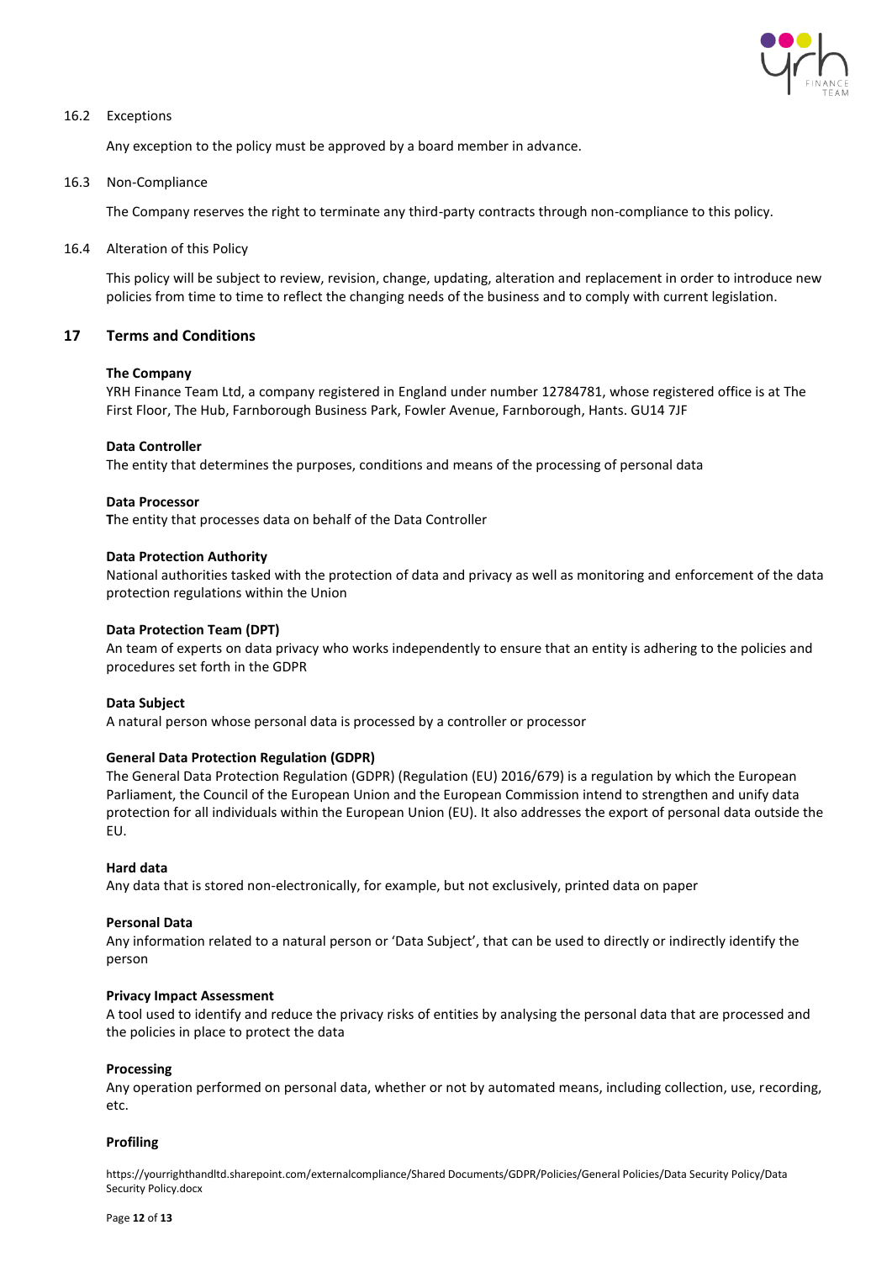

## 16.2 Exceptions

Any exception to the policy must be approved by a board member in advance.

#### 16.3 Non-Compliance

The Company reserves the right to terminate any third-party contracts through non-compliance to this policy.

#### 16.4 Alteration of this Policy

This policy will be subject to review, revision, change, updating, alteration and replacement in order to introduce new policies from time to time to reflect the changing needs of the business and to comply with current legislation.

## <span id="page-11-0"></span>**17 Terms and Conditions**

#### **The Company**

YRH Finance Team Ltd, a company registered in England under number 12784781, whose registered office is at The First Floor, The Hub, Farnborough Business Park, Fowler Avenue, Farnborough, Hants. GU14 7JF

#### **Data Controller**

The entity that determines the purposes, conditions and means of the processing of personal data

#### **Data Processor**

**T**he entity that processes data on behalf of the Data Controller

#### **Data Protection Authority**

National authorities tasked with the protection of data and privacy as well as monitoring and enforcement of the data protection regulations within the Union

#### **Data Protection Team (DPT)**

An team of experts on data privacy who works independently to ensure that an entity is adhering to the policies and procedures set forth in the GDPR

#### **Data Subject**

A natural person whose personal data is processed by a controller or processor

## **General Data Protection Regulation (GDPR)**

The General Data Protection Regulation (GDPR) (Regulation (EU) 2016/679) is a regulation by which the European Parliament, the Council of the European Union and the European Commission intend to strengthen and unify data protection for all individuals within the European Union (EU). It also addresses the export of personal data outside the EU.

#### **Hard data**

Any data that is stored non-electronically, for example, but not exclusively, printed data on paper

#### **Personal Data**

Any information related to a natural person or 'Data Subject', that can be used to directly or indirectly identify the person

#### **Privacy Impact Assessment**

A tool used to identify and reduce the privacy risks of entities by analysing the personal data that are processed and the policies in place to protect the data

#### **Processing**

Any operation performed on personal data, whether or not by automated means, including collection, use, recording, etc.

#### **Profiling**